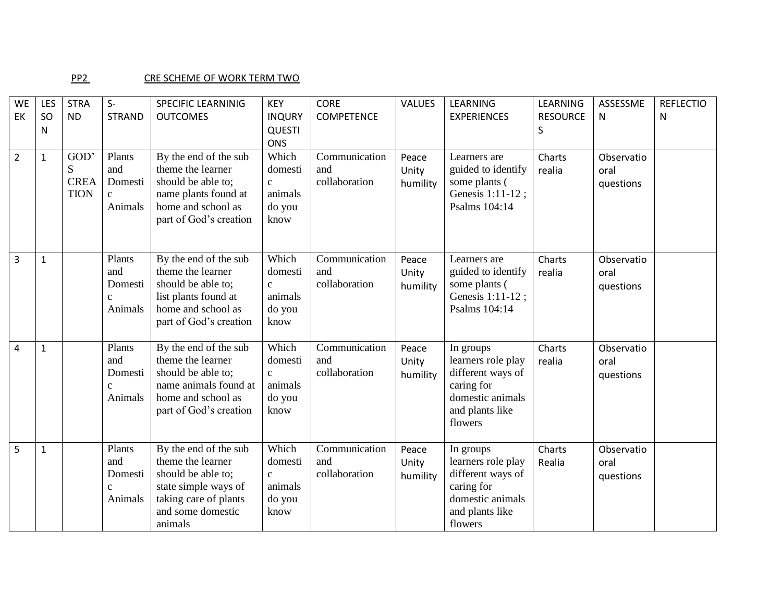## PP2 CRE SCHEME OF WORK TERM TWO

| WE<br>EK       | LES<br>SO<br>N | <b>STRA</b><br><b>ND</b>                | $S-$<br><b>STRAND</b>                                | <b>SPECIFIC LEARNINIG</b><br><b>OUTCOMES</b>                                                                                                      | <b>KEY</b><br><b>INQURY</b><br><b>QUESTI</b><br><b>ONS</b>    | <b>CORE</b><br><b>COMPETENCE</b>      | VALUES                     | LEARNING<br><b>EXPERIENCES</b>                                                                                       | LEARNING<br><b>RESOURCE</b><br>$\sf S$ | ASSESSME<br>N                   | <b>REFLECTIO</b><br>N |
|----------------|----------------|-----------------------------------------|------------------------------------------------------|---------------------------------------------------------------------------------------------------------------------------------------------------|---------------------------------------------------------------|---------------------------------------|----------------------------|----------------------------------------------------------------------------------------------------------------------|----------------------------------------|---------------------------------|-----------------------|
| $\overline{2}$ | $\mathbf{1}$   | GOD'<br>S<br><b>CREA</b><br><b>TION</b> | Plants<br>and<br>Domesti<br>$\mathbf{c}$<br>Animals  | By the end of the sub<br>theme the learner<br>should be able to;<br>name plants found at<br>home and school as<br>part of God's creation          | Which<br>domesti<br>$\mathbf{c}$<br>animals<br>do you<br>know | Communication<br>and<br>collaboration | Peace<br>Unity<br>humility | Learners are<br>guided to identify<br>some plants (<br>Genesis 1:11-12;<br>Psalms 104:14                             | Charts<br>realia                       | Observatio<br>oral<br>questions |                       |
| $\overline{3}$ | $\mathbf{1}$   |                                         | Plants<br>and<br>Domesti<br>$\mathcal{C}$<br>Animals | By the end of the sub<br>theme the learner<br>should be able to;<br>list plants found at<br>home and school as<br>part of God's creation          | Which<br>domesti<br>$\mathbf{C}$<br>animals<br>do you<br>know | Communication<br>and<br>collaboration | Peace<br>Unity<br>humility | Learners are<br>guided to identify<br>some plants (<br>Genesis 1:11-12;<br>Psalms 104:14                             | Charts<br>realia                       | Observatio<br>oral<br>questions |                       |
| 4              | $\mathbf{1}$   |                                         | Plants<br>and<br>Domesti<br>C<br>Animals             | By the end of the sub<br>theme the learner<br>should be able to;<br>name animals found at<br>home and school as<br>part of God's creation         | Which<br>domesti<br>$\mathbf{c}$<br>animals<br>do you<br>know | Communication<br>and<br>collaboration | Peace<br>Unity<br>humility | In groups<br>learners role play<br>different ways of<br>caring for<br>domestic animals<br>and plants like<br>flowers | Charts<br>realia                       | Observatio<br>oral<br>questions |                       |
| 5              | $\mathbf{1}$   |                                         | Plants<br>and<br>Domesti<br>Animals                  | By the end of the sub<br>theme the learner<br>should be able to;<br>state simple ways of<br>taking care of plants<br>and some domestic<br>animals | Which<br>domesti<br>$\mathbf{C}$<br>animals<br>do you<br>know | Communication<br>and<br>collaboration | Peace<br>Unity<br>humility | In groups<br>learners role play<br>different ways of<br>caring for<br>domestic animals<br>and plants like<br>flowers | Charts<br>Realia                       | Observatio<br>oral<br>questions |                       |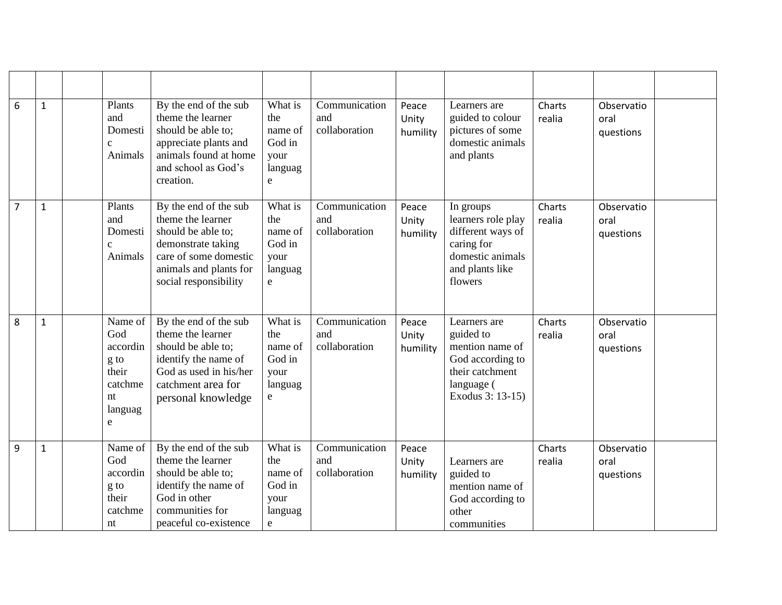| 6              | $\mathbf{1}$ | Plants<br>and<br>Domesti<br>Animals                                          | By the end of the sub<br>theme the learner<br>should be able to;<br>appreciate plants and<br>animals found at home<br>and school as God's<br>creation.             | What is<br>the<br>name of<br>God in<br>your<br>languag<br>e           | Communication<br>and<br>collaboration | Peace<br>Unity<br>humility | Learners are<br>guided to colour<br>pictures of some<br>domestic animals<br>and plants                                | Charts<br>realia | Observatio<br>oral<br>questions |  |
|----------------|--------------|------------------------------------------------------------------------------|--------------------------------------------------------------------------------------------------------------------------------------------------------------------|-----------------------------------------------------------------------|---------------------------------------|----------------------------|-----------------------------------------------------------------------------------------------------------------------|------------------|---------------------------------|--|
| $\overline{7}$ | $\mathbf{1}$ | Plants<br>and<br>Domesti<br>$\mathbf{C}$<br>Animals                          | By the end of the sub<br>theme the learner<br>should be able to;<br>demonstrate taking<br>care of some domestic<br>animals and plants for<br>social responsibility | What is<br>the<br>name of<br>God in<br>your<br>languag<br>e           | Communication<br>and<br>collaboration | Peace<br>Unity<br>humility | In groups<br>learners role play<br>different ways of<br>caring for<br>domestic animals<br>and plants like<br>flowers  | Charts<br>realia | Observatio<br>oral<br>questions |  |
| 8              | $\mathbf{1}$ | Name of<br>God<br>accordin<br>g to<br>their<br>catchme<br>nt<br>languag<br>e | By the end of the sub<br>theme the learner<br>should be able to;<br>identify the name of<br>God as used in his/her<br>catchment area for<br>personal knowledge     | What is<br>the<br>name of<br>God in<br>your<br>languag<br>e           | Communication<br>and<br>collaboration | Peace<br>Unity<br>humility | Learners are<br>guided to<br>mention name of<br>God according to<br>their catchment<br>language (<br>Exodus 3: 13-15) | Charts<br>realia | Observatio<br>oral<br>questions |  |
| $\overline{9}$ | $\mathbf 1$  | Name of<br>God<br>accordin<br>g to<br>their<br>catchme<br>nt                 | By the end of the sub<br>theme the learner<br>should be able to;<br>identify the name of<br>God in other<br>communities for<br>peaceful co-existence               | What is<br>the<br>name of<br>God in<br>your<br>languag<br>$\mathbf e$ | Communication<br>and<br>collaboration | Peace<br>Unity<br>humility | Learners are<br>guided to<br>mention name of<br>God according to<br>other<br>communities                              | Charts<br>realia | Observatio<br>oral<br>questions |  |